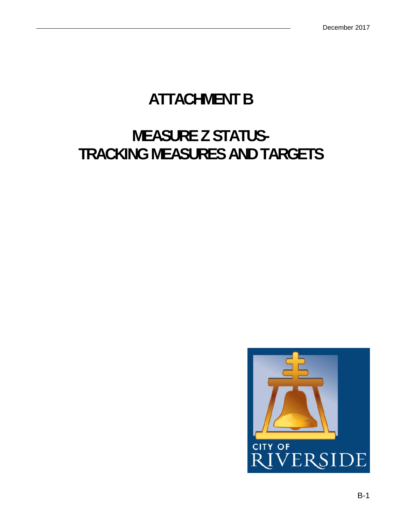#### **ATTACHMENT B**

#### **MEASURE Z STATUS-TRACKING MEASURES AND TARGETS**

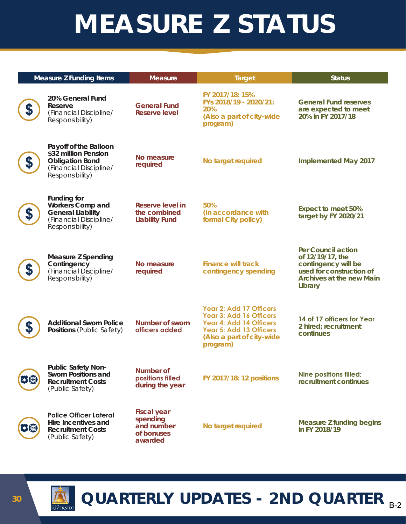# **MEASURE Z STATUS**

| <b>Measure Z Funding Items</b>                                                                                         | <b>Measure</b>                                                        | <b>Target</b>                                                                                                                                     | <b>Status</b>                                                                                                                                  |
|------------------------------------------------------------------------------------------------------------------------|-----------------------------------------------------------------------|---------------------------------------------------------------------------------------------------------------------------------------------------|------------------------------------------------------------------------------------------------------------------------------------------------|
| 20% General Fund<br>Reserve<br>(Financial Discipline/<br>Responsibility)                                               | <b>General Fund</b><br><b>Reserve level</b>                           | FY 2017/18: 15%<br>FYs 2018/19 - 2020/21:<br>20%<br>(Also a part of city-wide<br>program)                                                         | <b>General Fund reserves</b><br>are expected to meet<br>20% in FY 2017/18                                                                      |
| Payoff of the Balloon<br>\$32 million Pension<br><b>Obligation Bond</b><br>(Financial Discipline/<br>Responsibility)   | No measure<br>required                                                | No target required                                                                                                                                | <b>Implemented May 2017</b>                                                                                                                    |
| <b>Funding for</b><br><b>Workers Comp and</b><br><b>General Liability</b><br>(Financial Discipline/<br>Responsibility) | Reserve level in<br>the combined<br><b>Liability Fund</b>             | 50%<br>(In accordance with<br>formal City policy)                                                                                                 | <b>Expect to meet 50%</b><br>target by FY 2020/21                                                                                              |
| <b>Measure Z Spending</b><br>Contingency<br>(Financial Discipline/<br>Responsibility)                                  | No measure<br>required                                                | <b>Finance will track</b><br>contingency spending                                                                                                 | <b>Per Council action</b><br>of 12/19/17, the<br>contingency will be<br>used for construction of<br><b>Archives at the new Main</b><br>Library |
| <b>Additional Sworn Police</b><br>Positions (Public Safety)                                                            | Number of sworn<br>officers added                                     | Year 2: Add 17 Officers<br>Year 3: Add 16 Officers<br>Year 4: Add 14 Officers<br>Year 5: Add 13 Officers<br>(Also a part of city-wide<br>program) | 14 of 17 officers for Year<br>2 hired; recruitment<br>continues                                                                                |
| <b>Public Safety Non-</b><br><b>Sworn Positions and</b><br><b>Recruitment Costs</b><br>(Public Safety)                 | Number of<br>positions filled<br>during the year                      | <b>FY 2017/18: 12 positions</b>                                                                                                                   | <b>Nine positions filled;</b><br>recruitment continues                                                                                         |
| <b>Police Officer Lateral</b><br>Hire Incentives and<br><b>Recruitment Costs</b><br>(Public Safety)                    | <b>Fiscal year</b><br>spending<br>and number<br>of bonuses<br>awarded | No target required                                                                                                                                | <b>Measure Z funding begins</b><br>in FY 2018/19                                                                                               |

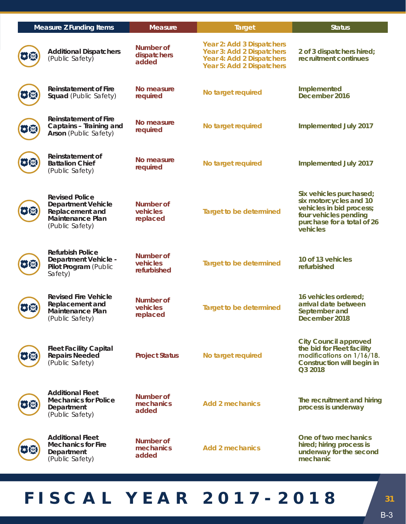|   | <b>Measure Z Funding Items</b>                                                                                      | <b>Measure</b>                       | <b>Target</b>                                                                                                    | <b>Status</b>                                                                                                                                    |
|---|---------------------------------------------------------------------------------------------------------------------|--------------------------------------|------------------------------------------------------------------------------------------------------------------|--------------------------------------------------------------------------------------------------------------------------------------------------|
|   | <b>Additional Dispatchers</b><br>(Public Safety)                                                                    | Number of<br>dispatchers<br>added    | Year 2: Add 3 Dispatchers<br>Year 3: Add 2 Dispatchers<br>Year 4: Add 2 Dispatchers<br>Year 5: Add 2 Dispatchers | 2 of 3 dispatchers hired;<br>recruitment continues                                                                                               |
|   | <b>Reinstatement of Fire</b><br>Squad (Public Safety)                                                               | No measure<br>required               | No target required                                                                                               | Implemented<br>December 2016                                                                                                                     |
|   | Reinstatement of Fire<br>Captains - Training and<br><b>Arson</b> (Public Safety)                                    | No measure<br>required               | No target required                                                                                               | Implemented July 2017                                                                                                                            |
|   | Reinstatement of<br><b>Battalion Chief</b><br>(Public Safety)                                                       | No measure<br>required               | No target required                                                                                               | Implemented July 2017                                                                                                                            |
|   | <b>Revised Police</b><br><b>Department Vehicle</b><br>Replacement and<br><b>Maintenance Plan</b><br>(Public Safety) | Number of<br>vehicles<br>replaced    | <b>Target to be determined</b>                                                                                   | Six vehicles purchased;<br>six motorcycles and 10<br>vehicles in bid process;<br>four vehicles pending<br>purchase for a total of 26<br>vehicles |
|   | <b>Refurbish Police</b><br>Department Vehicle -<br>Pilot Program (Public<br>Safety)                                 | Number of<br>vehicles<br>refurbished | <b>Target to be determined</b>                                                                                   | 10 of 13 vehicles<br>refurbished                                                                                                                 |
| ל | <b>Revised Fire Vehicle</b><br>Replacement and<br><b>Maintenance Plan</b><br>(Public Safety)                        | Number of<br>vehicles<br>replaced    | <b>Target to be determined</b>                                                                                   | 16 vehicles ordered;<br>arrival date between<br>September and<br>December 2018                                                                   |
|   | <b>Fleet Facility Capital</b><br><b>Repairs Needed</b><br>(Public Safety)                                           | <b>Project Status</b>                | No target required                                                                                               | <b>City Council approved</b><br>the bid for Fleet facility<br>modifications on 1/16/18.<br><b>Construction will begin in</b><br>Q3 2018          |
|   | <b>Additional Fleet</b><br><b>Mechanics for Police</b><br>Department<br>(Public Safety)                             | Number of<br>mechanics<br>added      | <b>Add 2 mechanics</b>                                                                                           | The recruitment and hiring<br>process is underway                                                                                                |
|   | <b>Additional Fleet</b><br><b>Mechanics for Fire</b><br>Department<br>(Public Safety)                               | Number of<br>mechanics<br>added      | <b>Add 2 mechanics</b>                                                                                           | One of two mechanics<br>hired; hiring process is<br>underway for the second<br>mechanic                                                          |

### **FISCAL YEAR 2017-2018** *<sup>31</sup>*

B-3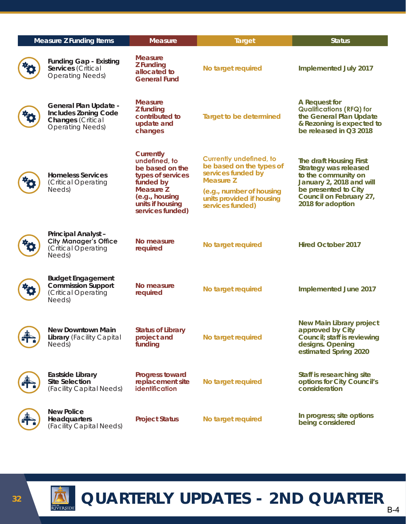| <b>Measure Z Funding Items</b> |                                                                                                             | <b>Measure</b>                                                                                                                                         | <b>Target</b>                                                                                                                                                                     | <b>Status</b>                                                                                                                                                               |
|--------------------------------|-------------------------------------------------------------------------------------------------------------|--------------------------------------------------------------------------------------------------------------------------------------------------------|-----------------------------------------------------------------------------------------------------------------------------------------------------------------------------------|-----------------------------------------------------------------------------------------------------------------------------------------------------------------------------|
|                                | <b>Funding Gap - Existing</b><br>Services (Critical<br><b>Operating Needs)</b>                              | <b>Measure</b><br><b>Z</b> Funding<br>allocated to<br><b>General Fund</b>                                                                              | No target required                                                                                                                                                                | Implemented July 2017                                                                                                                                                       |
|                                | General Plan Update -<br><b>Includes Zoning Code</b><br><b>Changes</b> (Critical<br><b>Operating Needs)</b> | <b>Measure</b><br>Z funding<br>contributed to<br>update and<br>changes                                                                                 | <b>Target to be determined</b>                                                                                                                                                    | A Request for<br><b>Qualifications (RFQ) for</b><br>the General Plan Update<br>& Rezoning is expected to<br>be released in Q3 2018                                          |
|                                | <b>Homeless Services</b><br>(Critical Operating<br>Needs)                                                   | Currently<br>undefined, to<br>be based on the<br>types of services<br>funded by<br>Measure Z<br>(e.g., housing<br>units if housing<br>services funded) | <b>Currently undefined, to</b><br>be based on the types of<br>services funded by<br><b>Measure Z</b><br>(e.g., number of housing<br>units provided if housing<br>services funded) | The draft Housing First<br>Strategy was released<br>to the community on<br>January 2, 2018 and will<br>be presented to City<br>Council on February 27,<br>2018 for adoption |
|                                | Principal Analyst-<br><b>City Manager's Office</b><br>(Critical Operating<br>Needs)                         | No measure<br>required                                                                                                                                 | No target required                                                                                                                                                                | <b>Hired October 2017</b>                                                                                                                                                   |
|                                | <b>Budget Engagement</b><br><b>Commission Support</b><br>(Critical Operating<br>Needs)                      | No measure<br>required                                                                                                                                 | No target required                                                                                                                                                                | Implemented June 2017                                                                                                                                                       |
|                                | <b>New Downtown Main</b><br>Library (Facility Capital<br>Needs)                                             | <b>Status of Library</b><br>project and<br>funding                                                                                                     | No target required                                                                                                                                                                | <b>New Main Library project</b><br>approved by City<br>Council; staff is reviewing<br>designs. Opening<br>estimated Spring 2020                                             |
|                                | Eastside Library<br><b>Site Selection</b><br>(Facility Capital Needs)                                       | <b>Progress toward</b><br>replacement site<br><i>identification</i>                                                                                    | No target required                                                                                                                                                                | Staff is researching site<br>options for City Council's<br>consideration                                                                                                    |
|                                | <b>New Police</b><br><b>Headquarters</b><br>(Facility Capital Needs)                                        | <b>Project Status</b>                                                                                                                                  | No target required                                                                                                                                                                | In progress; site options<br>being considered                                                                                                                               |



## *D* **QUARTERLY UPDATES - 2ND QUARTER**